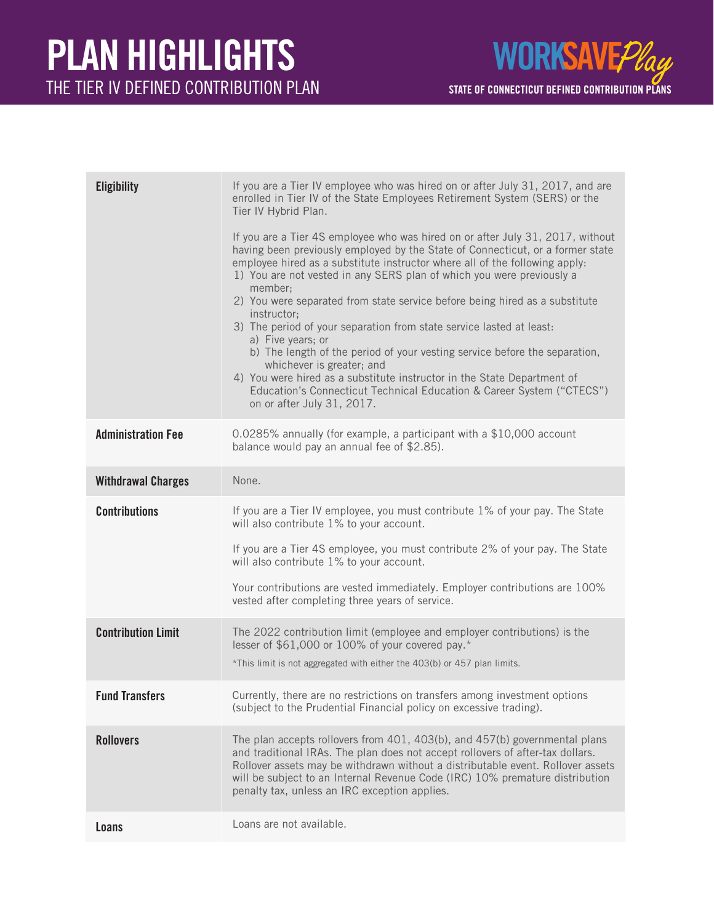

| <b>Eligibility</b>        | If you are a Tier IV employee who was hired on or after July 31, 2017, and are<br>enrolled in Tier IV of the State Employees Retirement System (SERS) or the<br>Tier IV Hybrid Plan.<br>If you are a Tier 4S employee who was hired on or after July 31, 2017, without<br>having been previously employed by the State of Connecticut, or a former state<br>employee hired as a substitute instructor where all of the following apply:<br>1) You are not vested in any SERS plan of which you were previously a<br>member:<br>2) You were separated from state service before being hired as a substitute<br>instructor;<br>3) The period of your separation from state service lasted at least:<br>a) Five years; or<br>b) The length of the period of your vesting service before the separation,<br>whichever is greater; and<br>4) You were hired as a substitute instructor in the State Department of<br>Education's Connecticut Technical Education & Career System ("CTECS")<br>on or after July 31, 2017. |
|---------------------------|---------------------------------------------------------------------------------------------------------------------------------------------------------------------------------------------------------------------------------------------------------------------------------------------------------------------------------------------------------------------------------------------------------------------------------------------------------------------------------------------------------------------------------------------------------------------------------------------------------------------------------------------------------------------------------------------------------------------------------------------------------------------------------------------------------------------------------------------------------------------------------------------------------------------------------------------------------------------------------------------------------------------|
| <b>Administration Fee</b> | 0.0285% annually (for example, a participant with a \$10,000 account<br>balance would pay an annual fee of \$2.85).                                                                                                                                                                                                                                                                                                                                                                                                                                                                                                                                                                                                                                                                                                                                                                                                                                                                                                 |
| <b>Withdrawal Charges</b> | None.                                                                                                                                                                                                                                                                                                                                                                                                                                                                                                                                                                                                                                                                                                                                                                                                                                                                                                                                                                                                               |
| <b>Contributions</b>      | If you are a Tier IV employee, you must contribute 1% of your pay. The State<br>will also contribute 1% to your account.<br>If you are a Tier 4S employee, you must contribute 2% of your pay. The State<br>will also contribute 1% to your account.<br>Your contributions are vested immediately. Employer contributions are 100%<br>vested after completing three years of service.                                                                                                                                                                                                                                                                                                                                                                                                                                                                                                                                                                                                                               |
| <b>Contribution Limit</b> | The 2022 contribution limit (employee and employer contributions) is the<br>lesser of \$61,000 or 100% of your covered pay.*<br>*This limit is not aggregated with either the 403(b) or 457 plan limits.                                                                                                                                                                                                                                                                                                                                                                                                                                                                                                                                                                                                                                                                                                                                                                                                            |
| <b>Fund Transfers</b>     | Currently, there are no restrictions on transfers among investment options<br>(subject to the Prudential Financial policy on excessive trading).                                                                                                                                                                                                                                                                                                                                                                                                                                                                                                                                                                                                                                                                                                                                                                                                                                                                    |
| <b>Rollovers</b>          | The plan accepts rollovers from 401, 403(b), and 457(b) governmental plans<br>and traditional IRAs. The plan does not accept rollovers of after-tax dollars.<br>Rollover assets may be withdrawn without a distributable event. Rollover assets<br>will be subject to an Internal Revenue Code (IRC) 10% premature distribution<br>penalty tax, unless an IRC exception applies.                                                                                                                                                                                                                                                                                                                                                                                                                                                                                                                                                                                                                                    |
| Loans                     | Loans are not available.                                                                                                                                                                                                                                                                                                                                                                                                                                                                                                                                                                                                                                                                                                                                                                                                                                                                                                                                                                                            |